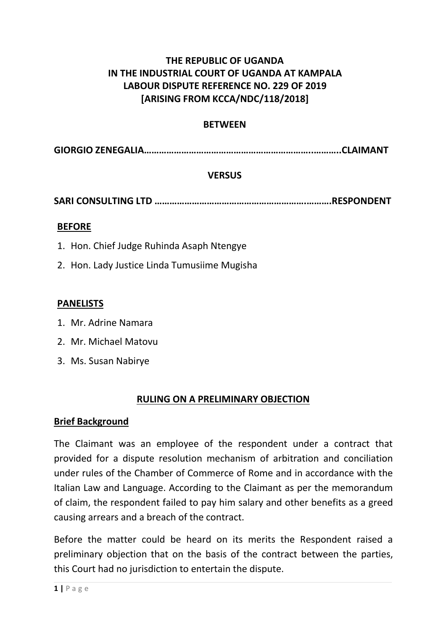# **THE REPUBLIC OF UGANDA IN THE INDUSTRIAL COURT OF UGANDA AT KAMPALA LABOUR DISPUTE REFERENCE NO. 229 OF 2019 [ARISING FROM KCCA/NDC/118/2018]**

## **BETWEEN**

**GIORGIO ZENEGALIA…………………………………………………………..………..CLAIMANT**

## **VERSUS**

**SARI CONSULTING LTD …………………………………………………….……….RESPONDENT**

#### **BEFORE**

- 1. Hon. Chief Judge Ruhinda Asaph Ntengye
- 2. Hon. Lady Justice Linda Tumusiime Mugisha

#### **PANELISTS**

- 1. Mr. Adrine Namara
- 2. Mr. Michael Matovu
- 3. Ms. Susan Nabirye

## **RULING ON A PRELIMINARY OBJECTION**

#### **Brief Background**

The Claimant was an employee of the respondent under a contract that provided for a dispute resolution mechanism of arbitration and conciliation under rules of the Chamber of Commerce of Rome and in accordance with the Italian Law and Language. According to the Claimant as per the memorandum of claim, the respondent failed to pay him salary and other benefits as a greed causing arrears and a breach of the contract.

Before the matter could be heard on its merits the Respondent raised a preliminary objection that on the basis of the contract between the parties, this Court had no jurisdiction to entertain the dispute.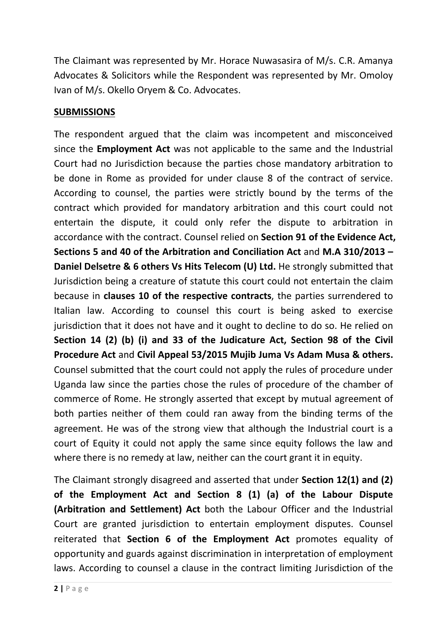The Claimant was represented by Mr. Horace Nuwasasira of M/s. C.R. Amanya Advocates & Solicitors while the Respondent was represented by Mr. Omoloy Ivan of M/s. Okello Oryem & Co. Advocates.

## **SUBMISSIONS**

The respondent argued that the claim was incompetent and misconceived since the **Employment Act** was not applicable to the same and the Industrial Court had no Jurisdiction because the parties chose mandatory arbitration to be done in Rome as provided for under clause 8 of the contract of service. According to counsel, the parties were strictly bound by the terms of the contract which provided for mandatory arbitration and this court could not entertain the dispute, it could only refer the dispute to arbitration in accordance with the contract. Counsel relied on **Section 91 of the Evidence Act, Sections 5 and 40 of the Arbitration and Conciliation Act** and **M.A 310/2013 – Daniel Delsetre & 6 others Vs Hits Telecom (U) Ltd.** He strongly submitted that Jurisdiction being a creature of statute this court could not entertain the claim because in **clauses 10 of the respective contracts**, the parties surrendered to Italian law. According to counsel this court is being asked to exercise jurisdiction that it does not have and it ought to decline to do so. He relied on **Section 14 (2) (b) (i) and 33 of the Judicature Act, Section 98 of the Civil Procedure Act** and **Civil Appeal 53/2015 Mujib Juma Vs Adam Musa & others.** Counsel submitted that the court could not apply the rules of procedure under Uganda law since the parties chose the rules of procedure of the chamber of commerce of Rome. He strongly asserted that except by mutual agreement of both parties neither of them could ran away from the binding terms of the agreement. He was of the strong view that although the Industrial court is a court of Equity it could not apply the same since equity follows the law and where there is no remedy at law, neither can the court grant it in equity.

The Claimant strongly disagreed and asserted that under **Section 12(1) and (2) of the Employment Act and Section 8 (1) (a) of the Labour Dispute (Arbitration and Settlement) Act** both the Labour Officer and the Industrial Court are granted jurisdiction to entertain employment disputes. Counsel reiterated that **Section 6 of the Employment Act** promotes equality of opportunity and guards against discrimination in interpretation of employment laws. According to counsel a clause in the contract limiting Jurisdiction of the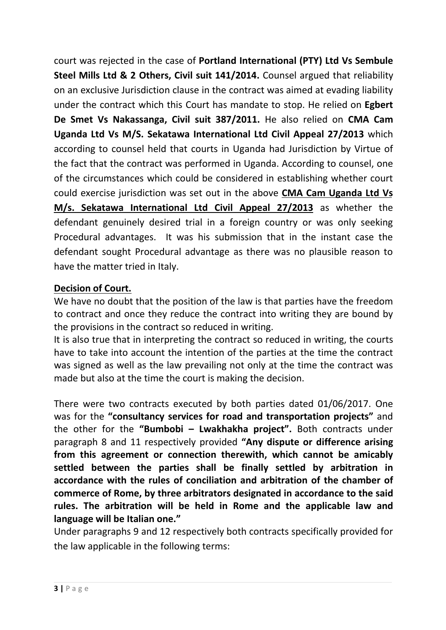court was rejected in the case of **Portland International (PTY) Ltd Vs Sembule Steel Mills Ltd & 2 Others, Civil suit 141/2014.** Counsel argued that reliability on an exclusive Jurisdiction clause in the contract was aimed at evading liability under the contract which this Court has mandate to stop. He relied on **Egbert De Smet Vs Nakassanga, Civil suit 387/2011.** He also relied on **CMA Cam Uganda Ltd Vs M/S. Sekatawa International Ltd Civil Appeal 27/2013** which according to counsel held that courts in Uganda had Jurisdiction by Virtue of the fact that the contract was performed in Uganda. According to counsel, one of the circumstances which could be considered in establishing whether court could exercise jurisdiction was set out in the above **CMA Cam Uganda Ltd Vs M/s. Sekatawa International Ltd Civil Appeal 27/2013** as whether the defendant genuinely desired trial in a foreign country or was only seeking Procedural advantages. It was his submission that in the instant case the defendant sought Procedural advantage as there was no plausible reason to have the matter tried in Italy.

# **Decision of Court.**

We have no doubt that the position of the law is that parties have the freedom to contract and once they reduce the contract into writing they are bound by the provisions in the contract so reduced in writing.

It is also true that in interpreting the contract so reduced in writing, the courts have to take into account the intention of the parties at the time the contract was signed as well as the law prevailing not only at the time the contract was made but also at the time the court is making the decision.

There were two contracts executed by both parties dated 01/06/2017. One was for the **"consultancy services for road and transportation projects"** and the other for the **"Bumbobi – Lwakhakha project".** Both contracts under paragraph 8 and 11 respectively provided **"Any dispute or difference arising from this agreement or connection therewith, which cannot be amicably settled between the parties shall be finally settled by arbitration in accordance with the rules ofconciliation and arbitration of the chamber of commerce of Rome, by three arbitrators designated in accordance to the said rules. The arbitration will be held in Rome and the applicable law and language will be Italian one."**

Under paragraphs 9 and 12 respectively both contracts specifically provided for the law applicable in the following terms: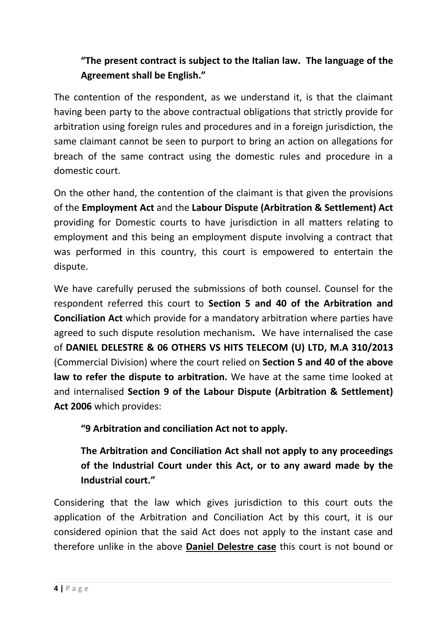# **"The present contract is subject to the Italian law. The language of the Agreement shall be English."**

The contention of the respondent, as we understand it, is that the claimant having been party to the above contractual obligations that strictly provide for arbitration using foreign rules and procedures and in a foreign jurisdiction, the same claimant cannot be seen to purport to bring an action on allegations for breach of the same contract using the domestic rules and procedure in a domestic court.

On the other hand, the contention of the claimant is that given the provisions of the **Employment Act** and the **Labour Dispute (Arbitration & Settlement) Act** providing for Domestic courts to have jurisdiction in all matters relating to employment and this being an employment dispute involving a contract that was performed in this country, this court is empowered to entertain the dispute.

We have carefully perused the submissions of both counsel. Counsel for the respondent referred this court to **Section 5 and 40 of the Arbitration and Conciliation Act** which provide for a mandatory arbitration where parties have agreed to such dispute resolution mechanism**.** We have internalised the case of **DANIEL DELESTRE & 06 OTHERS VS HITS TELECOM (U) LTD, M.A 310/2013** (Commercial Division) where the court relied on **Section 5 and 40 of the above law to refer the dispute to arbitration.** We have at the same time looked at and internalised **Section 9 of the Labour Dispute (Arbitration & Settlement) Act 2006** which provides:

**"9 Arbitration and conciliation Act not to apply.**

**The Arbitration and Conciliation Act shall not apply to any proceedings of the Industrial Court under this Act, or to any award made by the Industrial court."**

Considering that the law which gives jurisdiction to this court outs the application of the Arbitration and Conciliation Act by this court, it is our considered opinion that the said Act does not apply to the instant case and therefore unlike in the above **Daniel Delestre case** this court is not bound or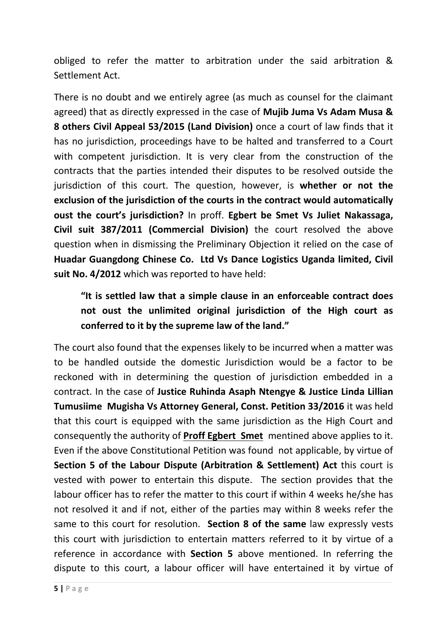obliged to refer the matter to arbitration under the said arbitration & Settlement Act.

There is no doubt and we entirely agree (as much as counsel for the claimant agreed) that as directly expressed in the case of **Mujib Juma Vs Adam Musa & 8 others Civil Appeal 53/2015 (Land Division)** once a court of law finds that it has no jurisdiction, proceedings have to be halted and transferred to a Court with competent jurisdiction. It is very clear from the construction of the contracts that the parties intended their disputes to be resolved outside the jurisdiction of this court. The question, however, is **whether or not the exclusion of the jurisdiction of the courts in the contract would automatically oust the court's jurisdiction?** In proff. **Egbert be Smet Vs Juliet Nakassaga, Civil suit 387/2011 (Commercial Division)** the court resolved the above question when in dismissing the Preliminary Objection it relied on the case of **Huadar Guangdong Chinese Co. Ltd Vs Dance Logistics Uganda limited, Civil suit No. 4/2012** which was reported to have held:

**"It is settled law that a simple clause in an enforceable contract does not oust the unlimited original jurisdiction of the High court as conferred to it by the supreme law of the land."**

The court also found that the expenses likely to be incurred when a matter was to be handled outside the domestic Jurisdiction would be a factor to be reckoned with in determining the question of jurisdiction embedded in a contract. In the case of **Justice Ruhinda Asaph Ntengye & Justice Linda Lillian Tumusiime Mugisha Vs Attorney General, Const. Petition 33/2016** it was held that this court is equipped with the same jurisdiction as the High Court and consequently the authority of **Proff Egbert Smet** mentined above applies to it. Even if the above Constitutional Petition was found not applicable, by virtue of **Section 5 of the Labour Dispute (Arbitration & Settlement) Act** this court is vested with power to entertain this dispute. The section provides that the labour officer has to refer the matter to this court if within 4 weeks he/she has not resolved it and if not, either of the parties may within 8 weeks refer the same to this court for resolution. **Section 8 of the same** law expressly vests this court with jurisdiction to entertain matters referred to it by virtue of a reference in accordance with **Section 5** above mentioned. In referring the dispute to this court, a labour officer will have entertained it by virtue of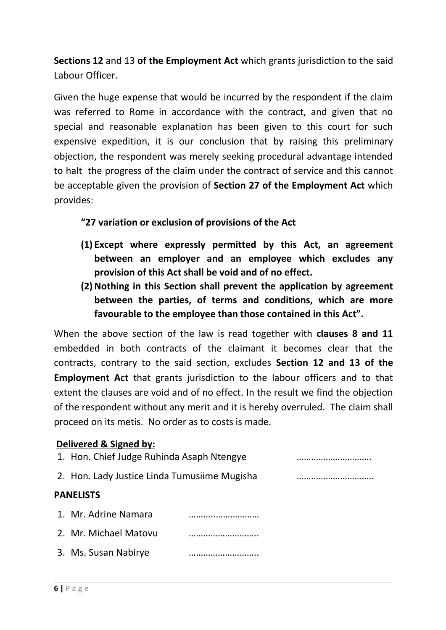**Sections 12** and 13 **of the Employment Act** which grants jurisdiction to the said Labour Officer.

Given the huge expense that would be incurred by the respondent if the claim was referred to Rome in accordance with the contract, and given that no special and reasonable explanation has been given to this court for such expensive expedition, it is our conclusion that by raising this preliminary objection, the respondent was merely seeking procedural advantage intended to halt the progress of the claim under the contract of service and this cannot be acceptable given the provision of **Section 27 of the Employment Act** which provides:

## **"27 variation or exclusion of provisions of the Act**

- **(1) Except where expressly permitted by this Act, an agreement between an employer and an employee which excludes any provision of this Act shall be void and of no effect.**
- **(2)Nothing in this Section shall prevent the application by agreement between the parties, of terms and conditions, which are more favourable to the employee than those contained in this Act".**

When the above section of the law is read together with **clauses 8 and 11** embedded in both contracts of the claimant it becomes clear that the contracts, contrary to the said section, excludes **Section 12 and 13 of the Employment Act** that grants jurisdiction to the labour officers and to that extent the clauses are void and of no effect. In the result we find the objection of the respondent without any merit and it is hereby overruled. The claim shall proceed on its metis. No order as to costs is made.

## **Delivered & Signed by:**

1. Hon. Chief Judge Ruhinda Asaph Ntengye …………………………. 2. Hon. Lady Justice Linda Tumusiime Mugisha ………………………….. **PANELISTS** 1. Mr. Adrine Namara ………..……………… 2. Mr. Michael Matovu ……………………….. 3. Ms. Susan Nabirye ………………………..